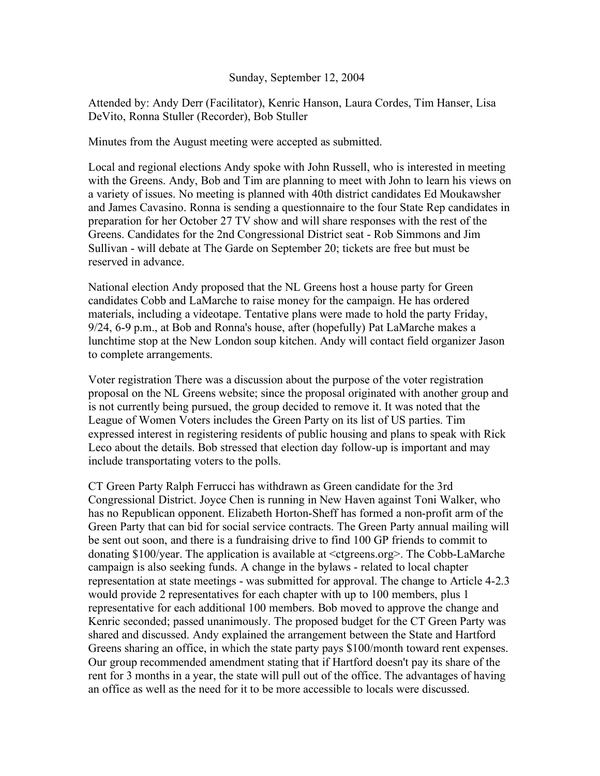## Sunday, September 12, 2004

Attended by: Andy Derr (Facilitator), Kenric Hanson, Laura Cordes, Tim Hanser, Lisa DeVito, Ronna Stuller (Recorder), Bob Stuller

Minutes from the August meeting were accepted as submitted.

Local and regional elections Andy spoke with John Russell, who is interested in meeting with the Greens. Andy, Bob and Tim are planning to meet with John to learn his views on a variety of issues. No meeting is planned with 40th district candidates Ed Moukawsher and James Cavasino. Ronna is sending a questionnaire to the four State Rep candidates in preparation for her October 27 TV show and will share responses with the rest of the Greens. Candidates for the 2nd Congressional District seat - Rob Simmons and Jim Sullivan - will debate at The Garde on September 20; tickets are free but must be reserved in advance.

National election Andy proposed that the NL Greens host a house party for Green candidates Cobb and LaMarche to raise money for the campaign. He has ordered materials, including a videotape. Tentative plans were made to hold the party Friday, 9/24, 6-9 p.m., at Bob and Ronna's house, after (hopefully) Pat LaMarche makes a lunchtime stop at the New London soup kitchen. Andy will contact field organizer Jason to complete arrangements.

Voter registration There was a discussion about the purpose of the voter registration proposal on the NL Greens website; since the proposal originated with another group and is not currently being pursued, the group decided to remove it. It was noted that the League of Women Voters includes the Green Party on its list of US parties. Tim expressed interest in registering residents of public housing and plans to speak with Rick Leco about the details. Bob stressed that election day follow-up is important and may include transportating voters to the polls.

CT Green Party Ralph Ferrucci has withdrawn as Green candidate for the 3rd Congressional District. Joyce Chen is running in New Haven against Toni Walker, who has no Republican opponent. Elizabeth Horton-Sheff has formed a non-profit arm of the Green Party that can bid for social service contracts. The Green Party annual mailing will be sent out soon, and there is a fundraising drive to find 100 GP friends to commit to donating \$100/year. The application is available at <ctgreens.org>. The Cobb-LaMarche campaign is also seeking funds. A change in the bylaws - related to local chapter representation at state meetings - was submitted for approval. The change to Article 4-2.3 would provide 2 representatives for each chapter with up to 100 members, plus 1 representative for each additional 100 members. Bob moved to approve the change and Kenric seconded; passed unanimously. The proposed budget for the CT Green Party was shared and discussed. Andy explained the arrangement between the State and Hartford Greens sharing an office, in which the state party pays \$100/month toward rent expenses. Our group recommended amendment stating that if Hartford doesn't pay its share of the rent for 3 months in a year, the state will pull out of the office. The advantages of having an office as well as the need for it to be more accessible to locals were discussed.